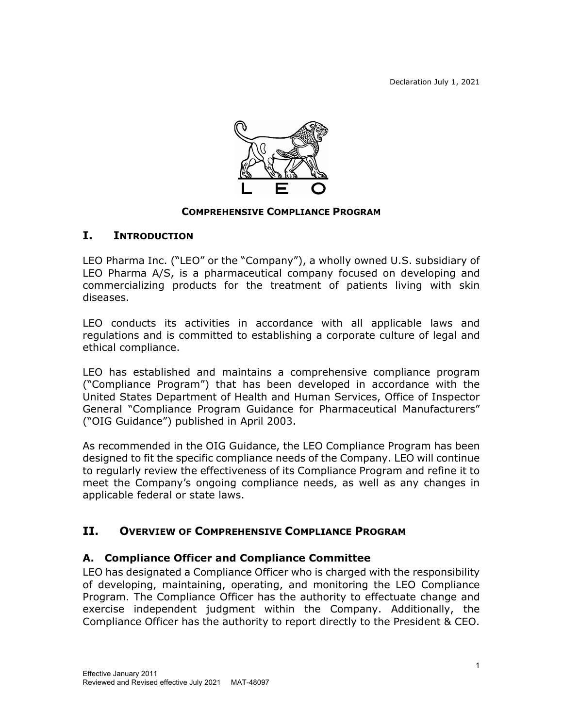

#### **COMPREHENSIVE COMPLIANCE PROGRAM**

#### **I. INTRODUCTION**

LEO Pharma Inc. ("LEO" or the "Company"), a wholly owned U.S. subsidiary of LEO Pharma A/S, is a pharmaceutical company focused on developing and commercializing products for the treatment of patients living with skin diseases.

LEO conducts its activities in accordance with all applicable laws and regulations and is committed to establishing a corporate culture of legal and ethical compliance.

LEO has established and maintains a comprehensive compliance program ("Compliance Program") that has been developed in accordance with the United States Department of Health and Human Services, Office of Inspector General "Compliance Program Guidance for Pharmaceutical Manufacturers" ("OIG Guidance") published in April 2003.

As recommended in the OIG Guidance, the LEO Compliance Program has been designed to fit the specific compliance needs of the Company. LEO will continue to regularly review the effectiveness of its Compliance Program and refine it to meet the Company's ongoing compliance needs, as well as any changes in applicable federal or state laws.

## **II. OVERVIEW OF COMPREHENSIVE COMPLIANCE PROGRAM**

#### **A. Compliance Officer and Compliance Committee**

LEO has designated a Compliance Officer who is charged with the responsibility of developing, maintaining, operating, and monitoring the LEO Compliance Program. The Compliance Officer has the authority to effectuate change and exercise independent judgment within the Company. Additionally, the Compliance Officer has the authority to report directly to the President & CEO.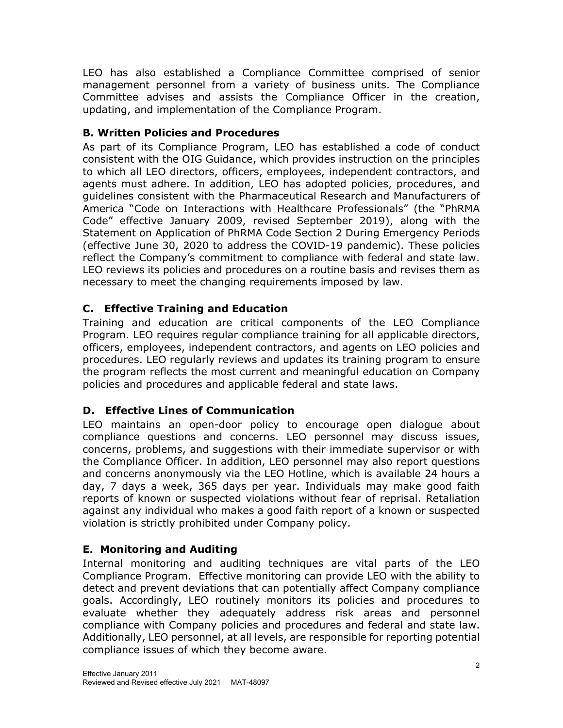LEO has also established a Compliance Committee comprised of senior management personnel from a variety of business units. The Compliance Committee advises and assists the Compliance Officer in the creation, updating, and implementation of the Compliance Program.

## **B. Written Policies and Procedures**

As part of its Compliance Program, LEO has established a code of conduct consistent with the OIG Guidance, which provides instruction on the principles to which all LEO directors, officers, employees, independent contractors, and agents must adhere. In addition, LEO has adopted policies, procedures, and guidelines consistent with the Pharmaceutical Research and Manufacturers of America "Code on Interactions with Healthcare Professionals" (the "PhRMA Code" effective January 2009, revised September 2019), along with the Statement on Application of PhRMA Code Section 2 During Emergency Periods (effective June 30, 2020 to address the COVID-19 pandemic). These policies reflect the Company's commitment to compliance with federal and state law. LEO reviews its policies and procedures on a routine basis and revises them as necessary to meet the changing requirements imposed by law.

# **C. Effective Training and Education**

Training and education are critical components of the LEO Compliance Program. LEO requires regular compliance training for all applicable directors, officers, employees, independent contractors, and agents on LEO policies and procedures. LEO regularly reviews and updates its training program to ensure the program reflects the most current and meaningful education on Company policies and procedures and applicable federal and state laws.

## **D. Effective Lines of Communication**

LEO maintains an open-door policy to encourage open dialogue about compliance questions and concerns. LEO personnel may discuss issues, concerns, problems, and suggestions with their immediate supervisor or with the Compliance Officer. In addition, LEO personnel may also report questions and concerns anonymously via the LEO Hotline, which is available 24 hours a day, 7 days a week, 365 days per year. Individuals may make good faith reports of known or suspected violations without fear of reprisal. Retaliation against any individual who makes a good faith report of a known or suspected violation is strictly prohibited under Company policy.

# **E. Monitoring and Auditing**

Internal monitoring and auditing techniques are vital parts of the LEO Compliance Program. Effective monitoring can provide LEO with the ability to detect and prevent deviations that can potentially affect Company compliance goals. Accordingly, LEO routinely monitors its policies and procedures to evaluate whether they adequately address risk areas and personnel compliance with Company policies and procedures and federal and state law. Additionally, LEO personnel, at all levels, are responsible for reporting potential compliance issues of which they become aware.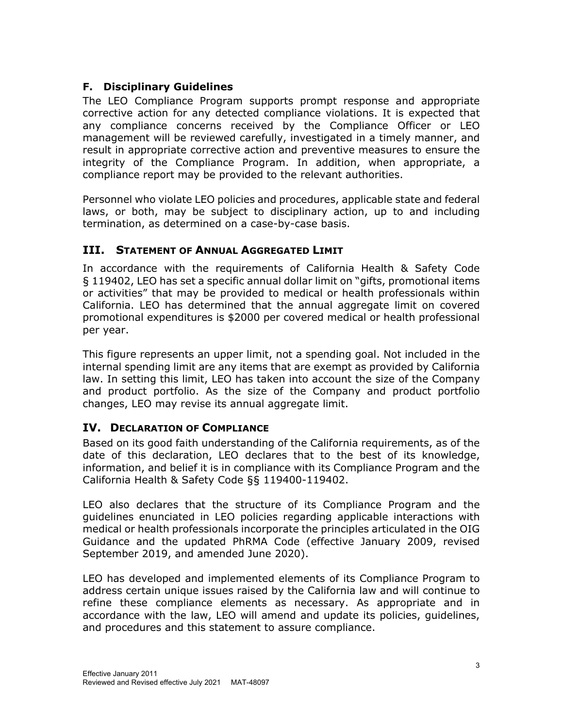#### **F. Disciplinary Guidelines**

The LEO Compliance Program supports prompt response and appropriate corrective action for any detected compliance violations. It is expected that any compliance concerns received by the Compliance Officer or LEO management will be reviewed carefully, investigated in a timely manner, and result in appropriate corrective action and preventive measures to ensure the integrity of the Compliance Program. In addition, when appropriate, a compliance report may be provided to the relevant authorities.

Personnel who violate LEO policies and procedures, applicable state and federal laws, or both, may be subject to disciplinary action, up to and including termination, as determined on a case-by-case basis.

## **III. STATEMENT OF ANNUAL AGGREGATED LIMIT**

In accordance with the requirements of California Health & Safety Code § 119402, LEO has set a specific annual dollar limit on "gifts, promotional items or activities" that may be provided to medical or health professionals within California. LEO has determined that the annual aggregate limit on covered promotional expenditures is \$2000 per covered medical or health professional per year.

This figure represents an upper limit, not a spending goal. Not included in the internal spending limit are any items that are exempt as provided by California law. In setting this limit, LEO has taken into account the size of the Company and product portfolio. As the size of the Company and product portfolio changes, LEO may revise its annual aggregate limit.

#### **IV. DECLARATION OF COMPLIANCE**

Based on its good faith understanding of the California requirements, as of the date of this declaration, LEO declares that to the best of its knowledge, information, and belief it is in compliance with its Compliance Program and the California Health & Safety Code §§ 119400-119402.

LEO also declares that the structure of its Compliance Program and the guidelines enunciated in LEO policies regarding applicable interactions with medical or health professionals incorporate the principles articulated in the OIG Guidance and the updated PhRMA Code (effective January 2009, revised September 2019, and amended June 2020).

LEO has developed and implemented elements of its Compliance Program to address certain unique issues raised by the California law and will continue to refine these compliance elements as necessary. As appropriate and in accordance with the law, LEO will amend and update its policies, guidelines, and procedures and this statement to assure compliance.